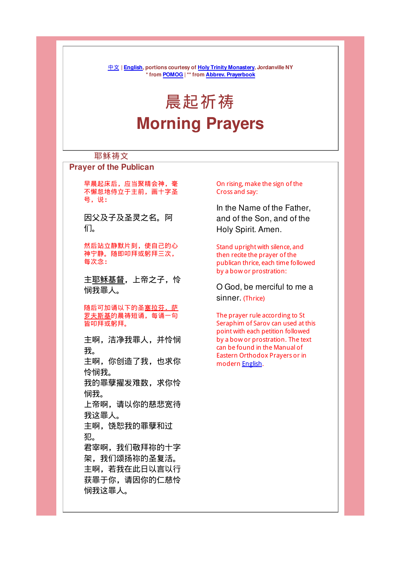中文 | English, portions courtesy of Holy Trinity Monastery, Jordanville NY \* from POMOG | \*\* from Abbrev. Prayerbook

# 晨起祈祷 Morning Prayers

## 耶稣祷文

#### Prayer of the Publican

早晨起床后,应当聚精会神,毫 不懈怠地侍立于主前,画十字圣 号,说:

因父及子及圣灵之名。阿 们。

然后站立静默片刻,使自己的心 神宁静。随即叩拜或躬拜三次, 每次念:

主耶稣基督,上帝之子,怜 悯我罪人。

随后可加诵以下的圣塞拉芬.萨 罗夫斯基的晨祷短诵,每诵一句 皆叩拜或躬拜。

主啊,洁净我罪人,并怜悯 我。 主啊,你创造了我,也求你 怜悯我。 我的罪孽擢发难数,求你怜 悯我。 上帝啊,请以你的慈悲宽待 我这罪人。 主啊,饶恕我的罪孽和过 犯。 君宰啊,我们敬拜祢的十字 架,我们颂扬祢的圣复活。 主啊,若我在此日以言以行

获罪于你,请因你的仁慈怜 悯我这罪人。

On rising, make the sign of the Cross and say:

In the Name of the Father, and of the Son, and of the Holy Spirit. Amen.

Stand upright with silence, and then recite the prayer of the publican thrice, each time followed by a bow or prostration:

O God, be merciful to me a sinner. (Thrice)

The prayer rule according to St Seraphim of Sarov can used at this point with each petition followed by a bow or prostration. The text can be found in the Manual of Eastern Orthodox Prayers or in modern English.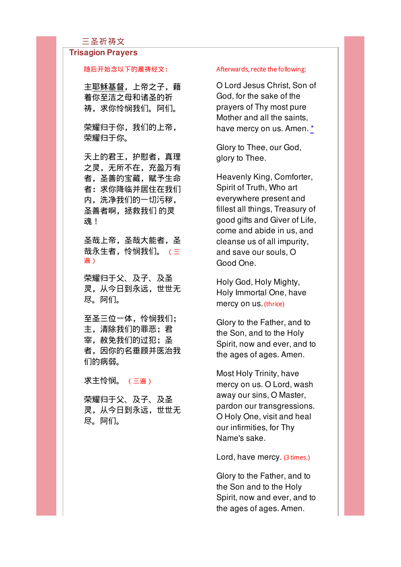#### 三圣祈祷文

#### Trisagion Prayers

#### 随后开始念以下的晨祷经文:

主耶稣基督,上帝之子,藉 着你至洁之母和诸圣的祈 祷,求你怜悯我们。阿们。

荣耀归于你,我们的上帝, 荣耀归于你。

天上的君王,护慰者,真理 之灵,无所不在,充盈万有 者,圣善的宝藏,赋予生命 者:求你降临并居住在我们 内,洗净我们的一切污秽, 圣善者啊, 拯救我们 的灵 魂!

圣哉上帝,圣哉大能者,圣 哉永生者,怜悯我们。 (三 遍)

荣耀归于父、及子、及圣 灵,从今日到永远,世世无 尽。阿们。

至圣三位一体,怜悯我们; 主,清除我们的罪恶;君 宰,赦免我们的过犯;圣 者,因你的名垂顾并医治我 们的病弱。

求主怜悯。 (三遍)

荣耀归于父、及子、及圣 灵,从今日到永远,世世无 尽。阿们。

#### Afterwards, recite the following:

O Lord Jesus Christ, Son of God, for the sake of the prayers of Thy most pure Mother and all the saints, have mercy on us. Amen. \*

Glory to Thee, our God, glory to Thee.

Heavenly King, Comforter, Spirit of Truth, Who art everywhere present and fillest all things, Treasury of good gifts and Giver of Life, come and abide in us, and cleanse us of all impurity, and save our souls, O Good One.

Holy God, Holy Mighty, Holy Immortal One, have mercy on us. (thrice)

Glory to the Father, and to the Son, and to the Holy Spirit, now and ever, and to the ages of ages. Amen.

Most Holy Trinity, have mercy on us. O Lord, wash away our sins, O Master, pardon our transgressions. O Holy One, visit and heal our infirmities, for Thy Name's sake.

Lord, have mercy. (3 times.)

Glory to the Father, and to the Son and to the Holy Spirit, now and ever, and to the ages of ages. Amen.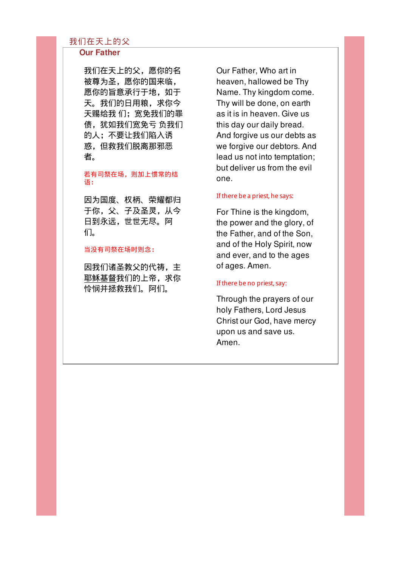## 我们在天上的父

#### Our Father

我们在天上的父,愿你的名 被尊为圣,愿你的国来临, 愿你的旨意承行于地,如于 天。我们的日用粮,求你今 天赐给我 们;宽免我们的罪 债,犹如我们宽免亏 负我们 的人;不要让我们陷入诱 惑,但救我们脱离那邪恶 者。

#### 若有司祭在场,则加上惯常的结 语:

因为国度、权柄、荣耀都归 于你,父、子及圣灵,从今 日到永远,世世无尽。阿 们。

#### 当没有司祭在场时则念:

因我们诸圣教父的代祷,主 耶稣基督我们的上帝,求你 怜悯并拯救我们。阿们。

Our Father, Who art in heaven, hallowed be Thy Name. Thy kingdom come. Thy will be done, on earth as it is in heaven. Give us this day our daily bread. And forgive us our debts as we forgive our debtors. And lead us not into temptation; but deliver us from the evil one.

#### If there be a priest, he says:

For Thine is the kingdom, the power and the glory, of the Father, and of the Son, and of the Holy Spirit, now and ever, and to the ages of ages. Amen.

#### If there be no priest, say:

Through the prayers of our holy Fathers, Lord Jesus Christ our God, have mercy upon us and save us. Amen.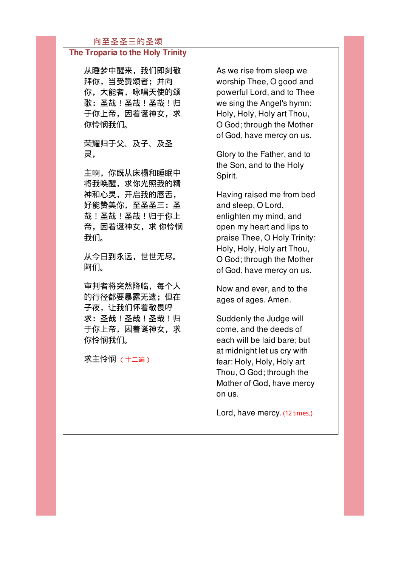## 向至圣圣三的圣颂

### The Troparia to the Holy Trinity

从睡梦中醒来,我们即刻敬 拜你,当受赞颂者;并向 你,大能者,咏唱天使的颂 歌:圣哉!圣哉!圣哉!归 于你上帝,因着诞神女,求 你怜悯我们。

## 荣耀归于父、及子、及圣 灵,

主啊,你既从床榻和睡眠中 将我唤醒,求你光照我的精 神和心灵,开启我的唇舌, 好能赞美你,至圣圣三:圣 哉!圣哉!圣哉!归于你上 帝,因着诞神女,求 你怜悯 我们。

从今日到永远,世世无尽。 阿们。

审判者将突然降临,每个人 的行径都要暴露无遗;但在 子夜,让我们怀着敬畏呼 求:圣哉!圣哉!圣哉!归 于你上帝,因着诞神女,求 你怜悯我们。

求主怜悯 (十二遍)

As we rise from sleep we worship Thee, O good and powerful Lord, and to Thee we sing the Angel's hymn: Holy, Holy, Holy art Thou, O God; through the Mother of God, have mercy on us.

Glory to the Father, and to the Son, and to the Holy Spirit.

Having raised me from bed and sleep, O Lord, enlighten my mind, and open my heart and lips to praise Thee, O Holy Trinity: Holy, Holy, Holy art Thou, O God; through the Mother of God, have mercy on us.

Now and ever, and to the ages of ages. Amen.

Suddenly the Judge will come, and the deeds of each will be laid bare; but at midnight let us cry with fear: Holy, Holy, Holy art Thou, O God; through the Mother of God, have mercy on us.

Lord, have mercy. (12 times.)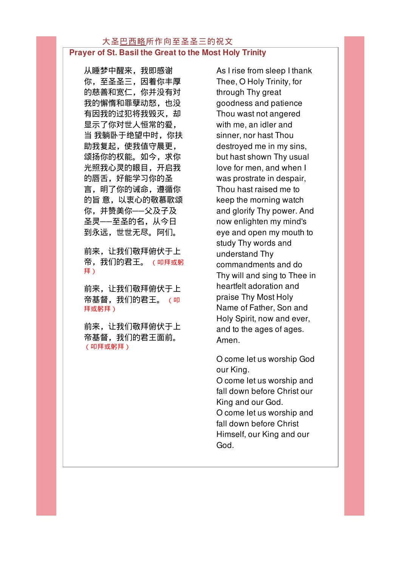#### 大圣巴西略所作向至圣圣三的祝文 Prayer of St. Basil the Great to the Most Holy Trinity

从睡梦中醒来,我即感谢 你,至圣圣三,因着你丰厚 的慈善和宽仁,你并没有对 我的懈惰和罪孽动怒,也没 有因我的过犯将我毁灭,却 显示了你对世人恒常的爱, 当 我躺卧于绝望中时,你扶 助我复起,使我值守晨更, 颂扬你的权能。如今,求你 光照我心灵的眼目,开启我 的唇舌,好能学习你的圣 言,明了你的诫命,遵循你 的旨 意,以衷心的敬慕歌颂 你,并赞美你──父及子及 圣灵──至圣的名,从今日 到永远,世世无尽。阿们。

前来,让我们敬拜俯伏于上 帝,我们的君王。 (叩拜或躬 拜)

前来,让我们敬拜俯伏于上 帝基督,我们的君王。 (叩 拜或躬拜)

前来,让我们敬拜俯伏于上 帝基督,我们的君王面前。 (叩拜或躬拜)

As I rise from sleep I thank Thee, O Holy Trinity, for through Thy great goodness and patience Thou wast not angered with me, an idler and sinner, nor hast Thou destroyed me in my sins, but hast shown Thy usual love for men, and when I was prostrate in despair, Thou hast raised me to keep the morning watch and glorify Thy power. And now enlighten my mind's eye and open my mouth to study Thy words and understand Thy commandments and do Thy will and sing to Thee in heartfelt adoration and praise Thy Most Holy Name of Father, Son and Holy Spirit, now and ever, and to the ages of ages. Amen.

O come let us worship God our King.

O come let us worship and fall down before Christ our King and our God. O come let us worship and fall down before Christ Himself, our King and our God.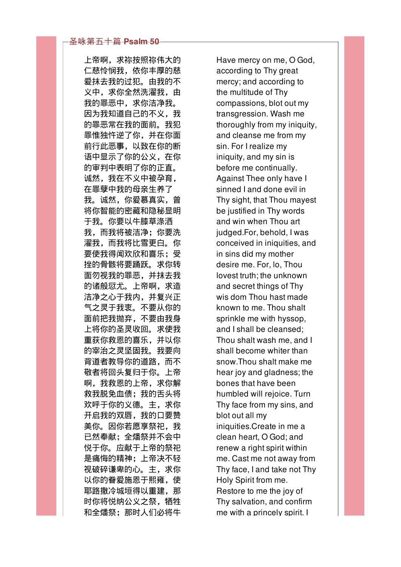上帝啊,求祢按照祢伟大的 仁慈怜悯我,依你丰厚的慈 爱抹去我的过犯。由我的不 义中,求你全然洗濯我,由 我的罪恶中,求你洁净我。 因为我知道自己的不义,我 的罪恶常在我的面前。我犯 罪惟独忤逆了你,并在你面 前行此恶事,以致在你的断 语中显示了你的公义,在你 的审判中表明了你的正直。 诚然,我在不义中被孕育, 在罪孽中我的母亲生养了 我。诚然,你爱慕真实,曾 将你智能的密藏和隐秘显明 于我。你要以牛膝草涤洒 我,而我将被洁净;你要洗 濯我,而我将比雪更白。你 要使我得闻欢欣和喜乐;受 挫的骨骸将要踊跃。求你转 面勿视我的罪恶,并抹去我 的诸般愆尤。上帝啊,求造 洁净之心于我内,并复兴正 气之灵于我衷。不要从你的 面前把我抛弃,不要由我身 上将你的圣灵收回。求使我 重获你救恩的喜乐,并以你 的宰治之灵坚固我。我要向 背道者教导你的道路,而不 敬者将回头复归于你。上帝 啊,我救恩的上帝,求你解 救我脱免血债;我的舌头将 欢呼于你的义德。主,求你 开启我的双唇,我的口要赞 美你。因你若愿享祭祀,我 已然奉献;全燔祭并不会中 悦于你。应献于上帝的祭祀 是痛悔的精神;上帝决不轻 视破碎谦卑的心。主,求你 以你的眷爱施恩于熙雍,使 耶路撒冷城垣得以重建,那 时你将悦纳公义之祭,牺牲 和全燔祭;那时人们必将牛

Have mercy on me, O God, according to Thy great mercy; and according to the multitude of Thy compassions, blot out my transgression. Wash me thoroughly from my iniquity, and cleanse me from my sin. For I realize my iniquity, and my sin is before me continually. Against Thee only have I sinned I and done evil in Thy sight, that Thou mayest be justified in Thy words and win when Thou art judged.For, behold, I was conceived in iniquities, and in sins did my mother desire me. For, lo, Thou lovest truth; the unknown and secret things of Thy wis dom Thou hast made known to me. Thou shalt sprinkle me with hyssop, and I shall be cleansed; Thou shalt wash me, and I shall become whiter than snow.Thou shalt make me hear joy and gladness; the bones that have been humbled will rejoice. Turn Thy face from my sins, and blot out all my iniquities.Create in me a clean heart, O God; and renew a right spirit within me. Cast me not away from Thy face, I and take not Thy Holy Spirit from me. Restore to me the joy of Thy salvation, and confirm me with a princely spirit. I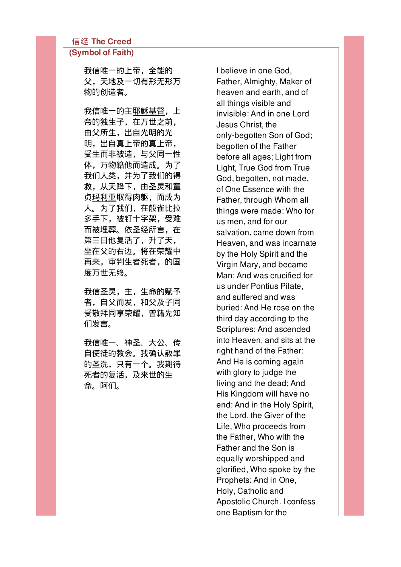## 信经 The Creed

## (Symbol of Faith)

我信唯一的上帝,全能的 父,天地及一切有形无形万 物的创造者。

我信唯一的主耶稣基督,上 帝的独生子,在万世之前, 由父所生,出自光明的光 明,出自真上帝的真上帝, 受生而非被造,与父同一性 体,万物籍他而造成。为了 我们人类,并为了我们的得 救,从天降下,由圣灵和童 贞玛利亚取得肉躯,而成为 人。为了我们,在般雀比拉 多手下,被钉十字架,受难 而被埋葬。依圣经所言,在 第三日他复活了,升了天, 坐在父的右边。将在荣耀中 再来,审判生者死者,的国 度万世无终。

我信圣灵,主,生命的赋予 者,自父而发,和父及子同 受敬拜同享荣耀,曾籍先知 们发言。

我信唯一、神圣、大公、传 自使徒的教会。我确认赦罪 的圣洗,只有一个。我期待 死者的复活,及来世的生 命。阿们。

I believe in one God, Father, Almighty, Maker of heaven and earth, and of all things visible and invisible: And in one Lord Jesus Christ, the only-begotten Son of God; begotten of the Father before all ages; Light from Light, True God from True God, begotten, not made, of One Essence with the Father, through Whom all things were made: Who for us men, and for our salvation, came down from Heaven, and was incarnate by the Holy Spirit and the Virgin Mary, and became Man: And was crucified for us under Pontius Pilate, and suffered and was buried: And He rose on the third day according to the Scriptures: And ascended into Heaven, and sits at the right hand of the Father: And He is coming again with glory to judge the living and the dead; And His Kingdom will have no end: And in the Holy Spirit, the Lord, the Giver of the Life, Who proceeds from the Father, Who with the Father and the Son is equally worshipped and glorified, Who spoke by the Prophets: And in One, Holy, Catholic and Apostolic Church. I confess one Baptism for the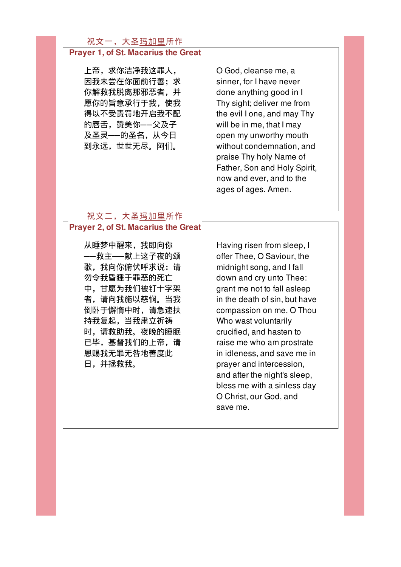## 祝文一,大圣玛加里所作

### Prayer 1, of St. Macarius the Great

上帝,求你洁净我这罪人, 因我未尝在你面前行善;求 你解救我脱离那邪恶者,并 愿你的旨意承行于我,使我 得以不受责罚地开启我不配 的唇舌,赞美你──父及子 及圣灵──的圣名,从今日 到永远,世世无尽。阿们。

O God, cleanse me, a sinner, for I have never done anything good in I Thy sight; deliver me from the evil I one, and may Thy will be in me, that I may open my unworthy mouth without condemnation, and praise Thy holy Name of Father, Son and Holy Spirit, now and ever, and to the ages of ages. Amen.

## 祝文二,大圣玛加里所作 Prayer 2, of St. Macarius the Great

从睡梦中醒来,我即向你 ──救主──献上这子夜的颂 歌,我向你俯伏呼求说:请 勿令我昏睡于罪恶的死亡 中,甘愿为我们被钉十字架 者,请向我施以慈悯。当我 倒卧于懈惰中时,请急速扶 持我复起,当我肃立祈祷 时,请救助我。夜晚的睡眠 已毕,基督我们的上帝,请 恩赐我无罪无咎地善度此 日,并拯救我。

Having risen from sleep, I offer Thee, O Saviour, the midnight song, and I fall down and cry unto Thee: grant me not to fall asleep in the death of sin, but have compassion on me, O Thou Who wast voluntarily crucified, and hasten to raise me who am prostrate in idleness, and save me in prayer and intercession, and after the night's sleep, bless me with a sinless day O Christ, our God, and save me.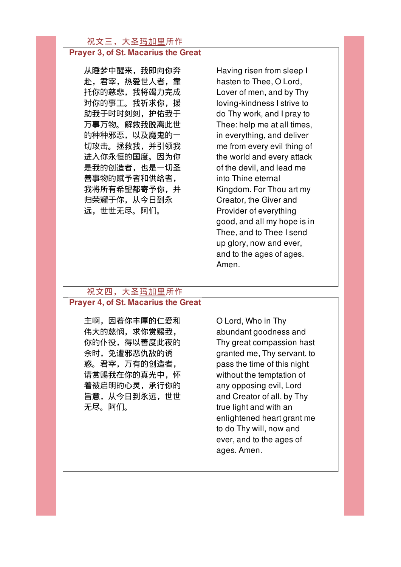## 祝文三,大圣玛加里所作

## Prayer 3, of St. Macarius the Great

从睡梦中醒来,我即向你奔 赴,君宰,热爱世人者,靠 托你的慈悲,我将竭力完成 对你的事工。我祈求你, 援 助我于时时刻刻,护佑我于 万事万物。解救我脱离此世 的种种邪恶,以及魔鬼的一 切攻击。拯救我,并引领我 进入你永恒的国度。因为你 是我的创造者,也是一切圣 善事物的赋予者和供给者, 我将所有希望都寄予你,并 归荣耀于你,从今日到永 远,世世无尽。阿们。

Having risen from sleep I hasten to Thee, O Lord, Lover of men, and by Thy loving-kindness I strive to do Thy work, and I pray to Thee: help me at all times, in everything, and deliver me from every evil thing of the world and every attack of the devil, and lead me into Thine eternal Kingdom. For Thou art my Creator, the Giver and Provider of everything good, and all my hope is in Thee, and to Thee I send up glory, now and ever, and to the ages of ages. Amen.

#### 祝文四,大圣玛加里所作

#### Prayer 4, of St. Macarius the Great

主啊,因着你丰厚的仁爱和 伟大的慈悯,求你赏赐我, 你的仆役,得以善度此夜的 余时,免遭邪恶仇敌的诱 惑。君宰,万有的创造者, 请赏赐我在你的真光中,怀 着被启明的心灵,承行你的 旨意,从今日到永远,世世 无尽。阿们。

O Lord, Who in Thy abundant goodness and Thy great compassion hast granted me, Thy servant, to pass the time of this night without the temptation of any opposing evil, Lord and Creator of all, by Thy true light and with an enlightened heart grant me to do Thy will, now and ever, and to the ages of ages. Amen.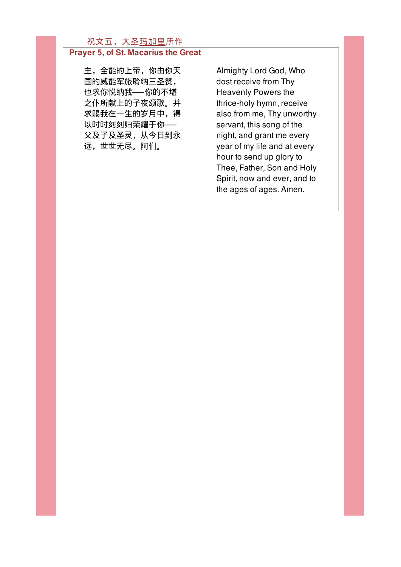## 祝文五,大圣玛加里所作

## Prayer 5, of St. Macarius the Great

主,全能的上帝,你由你天 国的威能军旅聆纳三圣赞, 也求你悦纳我──你的不堪 之仆所献上的子夜颂歌。并 求赐我在一生的岁月中,得 以时时刻刻归荣耀于你── 父及子及圣灵,从今日到永 远,世世无尽。阿们。

Almighty Lord God, Who dost receive from Thy Heavenly Powers the thrice-holy hymn, receive also from me, Thy unworthy servant, this song of the night, and grant me every year of my life and at every hour to send up glory to Thee, Father, Son and Holy Spirit, now and ever, and to the ages of ages. Amen.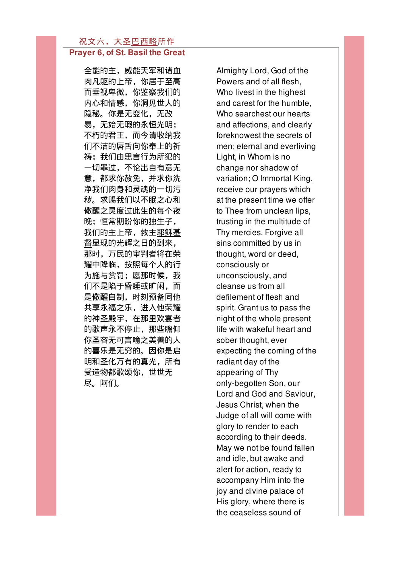#### 祝文六,大圣巴西略所作 Prayer 6, of St. Basil the Great

全能的主,威能天军和诸血 肉凡躯的上帝,你居于至高 而垂视卑微,你鉴察我们的 内心和情感,你洞见世人的 隐秘。你是无变化,无改 易,无始无瑕的永恒光明; 不朽的君王,而今请收纳我 们不洁的唇舌向你奉上的祈 祷;我们由思言行为所犯的 一切罪过,不论出自有意无 意,都求你赦免,并求你洗 净我们肉身和灵魂的一切污 秽。求赐我们以不眠之心和 儆醒之灵度过此生的每个夜 晚;恒常期盼你的独生子, 我们的主上帝,救主耶稣基 督显现的光辉之日的到来, 那时,万民的审判者将在荣 耀中降临,按照每个人的行 为施与赏罚;愿那时候,我 们不是陷于昏睡或旷闲,而 是儆醒自制,时刻预备同他 共享永福之乐,进入他荣耀 的神圣殿宇,在那里欢宴者 的歌声永不停止,那些瞻仰 你圣容无可言喻之美善的人 的喜乐是无穷的。因你是启 明和圣化万有的真光,所有 受造物都歌颂你,世世无 尽。阿们。

Almighty Lord, God of the Powers and of all flesh, Who livest in the highest and carest for the humble, Who searchest our hearts and affections, and clearly foreknowest the secrets of men; eternal and everliving Light, in Whom is no change nor shadow of variation; O Immortal King, receive our prayers which at the present time we offer to Thee from unclean lips, trusting in the multitude of Thy mercies. Forgive all sins committed by us in thought, word or deed, consciously or unconsciously, and cleanse us from all defilement of flesh and spirit. Grant us to pass the night of the whole present life with wakeful heart and sober thought, ever expecting the coming of the radiant day of the appearing of Thy only-begotten Son, our Lord and God and Saviour, Jesus Christ, when the Judge of all will come with glory to render to each according to their deeds. May we not be found fallen and idle, but awake and alert for action, ready to accompany Him into the joy and divine palace of His glory, where there is the ceaseless sound of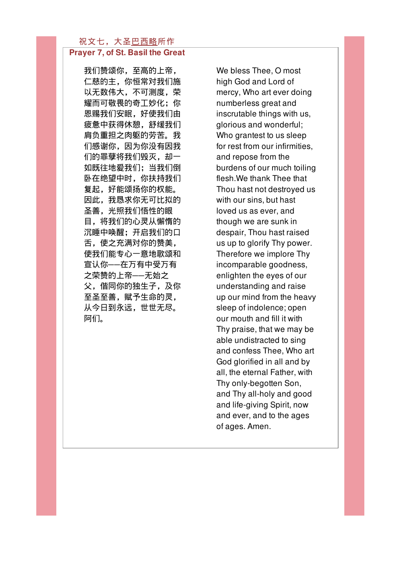#### 祝文七,大圣巴西略所作 Prayer 7, of St. Basil the Great

我们赞颂你,至高的上帝, 仁慈的主,你恒常对我们施 以无数伟大,不可测度,荣 耀而可敬畏的奇工妙化;你 恩赐我们安眠,好使我们由 疲惫中获得休憩,舒缓我们 肩负重担之肉躯的劳苦。我 们感谢你,因为你没有因我 们的罪孽将我们毁灭,却一 如既往地爱我们;当我们倒 卧在绝望中时,你扶持我们 复起,好能颂扬你的权能。 因此,我恳求你无可比拟的 圣善,光照我们悟性的眼 目,将我们的心灵从懈惰的 沉睡中唤醒:开启我们的口 舌,使之充满对你的赞美, 使我们能专心一意地歌颂和 宣认你──在万有中受万有 之荣赞的上帝──无始之 父,偕同你的独生子,及你 至圣至善,赋予生命的灵, 从今日到永远,世世无尽。 阿们。

We bless Thee, O most high God and Lord of mercy, Who art ever doing numberless great and inscrutable things with us, glorious and wonderful; Who grantest to us sleep for rest from our infirmities, and repose from the burdens of our much toiling flesh.We thank Thee that Thou hast not destroyed us with our sins, but hast loved us as ever, and though we are sunk in despair, Thou hast raised us up to glorify Thy power. Therefore we implore Thy incomparable goodness, enlighten the eyes of our understanding and raise up our mind from the heavy sleep of indolence; open our mouth and fill it with Thy praise, that we may be able undistracted to sing and confess Thee, Who art God glorified in all and by all, the eternal Father, with Thy only-begotten Son, and Thy all-holy and good and life-giving Spirit, now and ever, and to the ages of ages. Amen.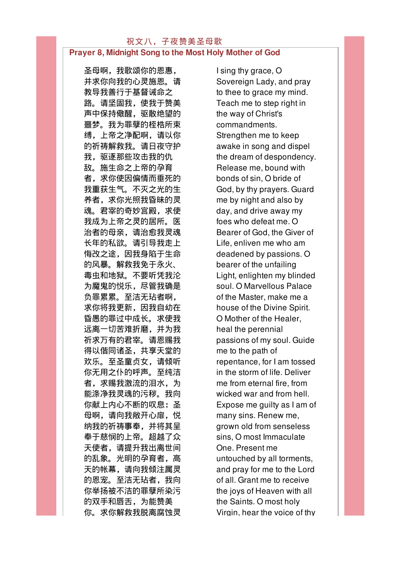#### 祝文八,子夜赞美圣母歌 Prayer 8, Midnight Song to the Most Holy Mother of God

圣母啊,我歌颂你的恩惠, 并求你向我的心灵施恩。请 教导我善行于基督诫命之 路。请坚固我,使我于赞美 声中保持儆醒,驱散绝望的 噩梦。我为罪孽的桎梏所束 缚,上帝之净配啊,请以你 的祈祷解救我。请日夜守护 我,驱逐那些攻击我的仇 敌。施生命之上帝的孕育 者,求你使因偏情而垂死的 我重获生气。不灭之光的生 养者,求你光照我昏昧的灵 魂。君宰的奇妙宫殿,求使 我成为上帝之灵的居所。医 治者的母亲,请治愈我灵魂 长年的私欲。请引导我走上 悔改之途,因我身陷于生命 的风暴。解救我免于永火、 毒虫和地狱。不要听凭我沦 为魔鬼的悦乐,尽管我确是 负罪累累。至洁无玷者啊, 求你将我更新,因我自幼在 昏愚的罪过中成长。求使我 远离一切苦难折磨,并为我 祈求万有的君宰。请恩赐我 得以偕同诸圣,共享天堂的 欢乐。至圣童贞女,请倾听 你无用之仆的呼声。至纯洁 者,求赐我激流的泪水,为 能涤净我灵魂的污秽。我向 你献上内心不断的叹息:圣 母啊,请向我敞开心扉,悦 纳我的祈祷事奉,并将其呈 奉于慈悯的上帝。超越了众 天使者,请提升我出离世间 的乱象。光明的孕育者,高 天的帐幕,请向我倾注属灵 的恩宠。至洁无玷者,我向 你举扬被不洁的罪孽所染污 的双手和唇舌,为能赞美 你。求你解救我脱离腐蚀灵

I sing thy grace, O Sovereign Lady, and pray to thee to grace my mind. Teach me to step right in the way of Christ's commandments. Strengthen me to keep awake in song and dispel the dream of despondency. Release me, bound with bonds of sin, O bride of God, by thy prayers. Guard me by night and also by day, and drive away my foes who defeat me. O Bearer of God, the Giver of Life, enliven me who am deadened by passions. O bearer of the unfailing Light, enlighten my blinded soul. O Marvellous Palace of the Master, make me a house of the Divine Spirit. O Mother of the Healer, heal the perennial passions of my soul. Guide me to the path of repentance, for I am tossed in the storm of life. Deliver me from eternal fire, from wicked war and from hell. Expose me guilty as I am of many sins. Renew me, grown old from senseless sins, O most Immaculate One. Present me untouched by all torments, and pray for me to the Lord of all. Grant me to receive the joys of Heaven with all the Saints. O most holy Virgin, hear the voice of thy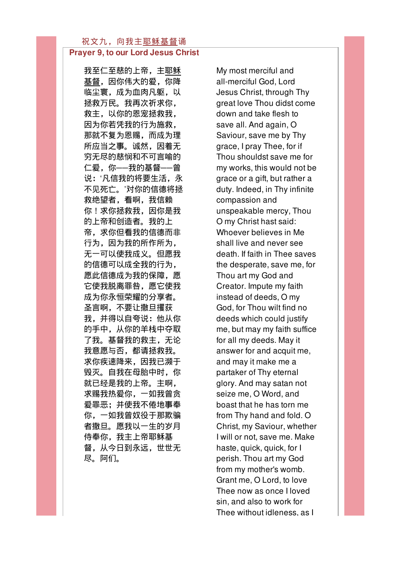## Prayer 9, to our Lord Jesus Christ

我至仁至慈的上帝,主耶稣 基督,因你伟大的爱,你降 临尘寰,成为血肉凡躯,以 拯救万民。我再次祈求你, 救主,以你的恩宠拯救我, 因为你若凭我的行为施救, 那就不复为恩赐,而成为理 所应当之事。诚然,因着无 穷无尽的慈悯和不可言喻的 仁爱,你──我的基督──曾 说:'凡信我的将要生活,永 不见死亡。'对你的信德将拯 救绝望者,看啊,我信赖 你!求你拯救我,因你是我 的上帝和创造者。我的上 帝,求你但看我的信德而非 行为,因为我的所作所为, 无一可以使我成义。但愿我 的信德可以成全我的行为, 愿此信德成为我的保障,愿 它使我脱离罪咎,愿它使我 成为你永恒荣耀的分享者。 圣言啊,不要让撒旦攫获 我,并得以自夸说:他从你 的手中,从你的羊栈中夺取 了我。基督我的救主,无论 我意愿与否,都请拯救我。 求你疾速降来,因我已濒于 毁灭。自我在母胎中时,你 就已经是我的上帝。主啊, 求赐我热爱你,一如我曾贪 爱罪恶;并使我不倦地事奉 你,一如我曾奴役于那欺骗 者撒旦。愿我以一生的岁月 侍奉你,我主上帝耶稣基 督,从今日到永远,世世无 尽。阿们。

My most merciful and all-merciful God, Lord Jesus Christ, through Thy great love Thou didst come down and take flesh to save all. And again, O Saviour, save me by Thy grace, I pray Thee, for if Thou shouldst save me for my works, this would not be grace or a gift, but rather a duty. Indeed, in Thy infinite compassion and unspeakable mercy, Thou O my Christ hast said: Whoever believes in Me shall live and never see death. If faith in Thee saves the desperate, save me, for Thou art my God and Creator. Impute my faith instead of deeds, O my God, for Thou wilt find no deeds which could justify me, but may my faith suffice for all my deeds. May it answer for and acquit me, and may it make me a partaker of Thy eternal glory. And may satan not seize me, O Word, and boast that he has torn me from Thy hand and fold. O Christ, my Saviour, whether I will or not, save me. Make haste, quick, quick, for I perish. Thou art my God from my mother's womb. Grant me, O Lord, to love Thee now as once I loved sin, and also to work for Thee without idleness, as I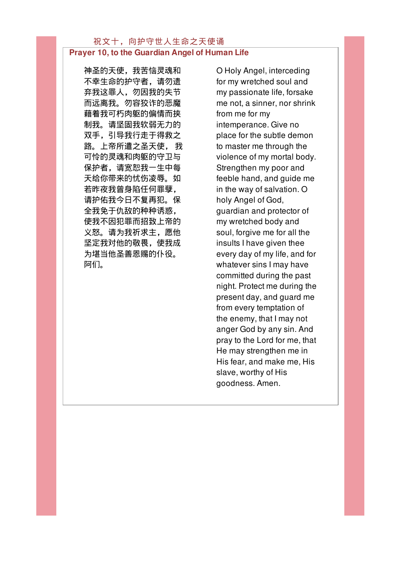#### 祝文十,向护守世人生命之天使诵 Prayer 10, to the Guardian Angel of Human Life

神圣的天使,我苦恼灵魂和 不幸生命的护守者,请勿遗 弃我这罪人,勿因我的失节 而远离我。勿容狡诈的恶魔 藉着我可朽肉躯的偏情而挟 制我。请坚固我软弱无力的 双手,引导我行走于得救之 路。上帝所遣之圣天使, 我 可怜的灵魂和肉躯的守卫与 保护者,请宽恕我一生中每 天给你带来的忧伤凌辱。如 若昨夜我曾身陷任何罪孽, 请护佑我今日不复再犯。保 全我免于仇敌的种种诱惑, 使我不因犯罪而招致上帝的 义怒。请为我祈求主,愿他 坚定我对他的敬畏,使我成 为堪当他圣善恩赐的仆役。 阿们。

O Holy Angel, interceding for my wretched soul and my passionate life, forsake me not, a sinner, nor shrink from me for my intemperance. Give no place for the subtle demon to master me through the violence of my mortal body. Strengthen my poor and feeble hand, and guide me in the way of salvation. O holy Angel of God, guardian and protector of my wretched body and soul, forgive me for all the insults I have given thee every day of my life, and for whatever sins I may have committed during the past night. Protect me during the present day, and guard me from every temptation of the enemy, that I may not anger God by any sin. And pray to the Lord for me, that He may strengthen me in His fear, and make me, His slave, worthy of His goodness. Amen.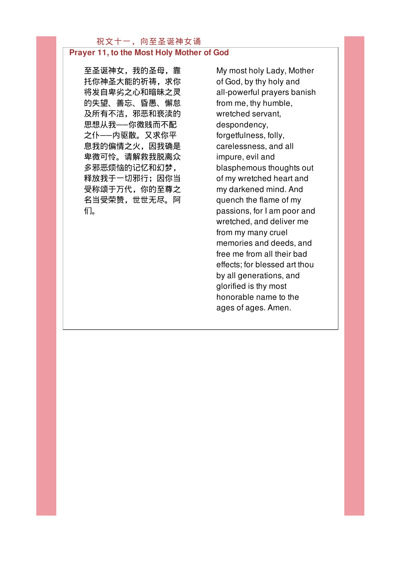## 祝文十一,向至圣诞神女诵 Prayer 11, to the Most Holy Mother of God

至圣诞神女,我的圣母,靠 托你神圣大能的祈祷,求你 将发自卑劣之心和暗昧之灵 的失望、善忘、昏愚、懈怠 及所有不洁,邪恶和亵渎的 思想从我──你微贱而不配 之仆──内驱散。又求你平 息我的偏情之火,因我确是 卑微可怜。请解救我脱离众 多邪恶烦恼的记忆和幻梦, 释放我于一切邪行;因你当 受称颂于万代,你的至尊之 名当受荣赞,世世无尽。阿 们。

My most holy Lady, Mother of God, by thy holy and all-powerful prayers banish from me, thy humble, wretched servant, despondency, forgetfulness, folly, carelessness, and all impure, evil and blasphemous thoughts out of my wretched heart and my darkened mind. And quench the flame of my passions, for I am poor and wretched, and deliver me from my many cruel memories and deeds, and free me from all their bad effects; for blessed art thou by all generations, and glorified is thy most honorable name to the ages of ages. Amen.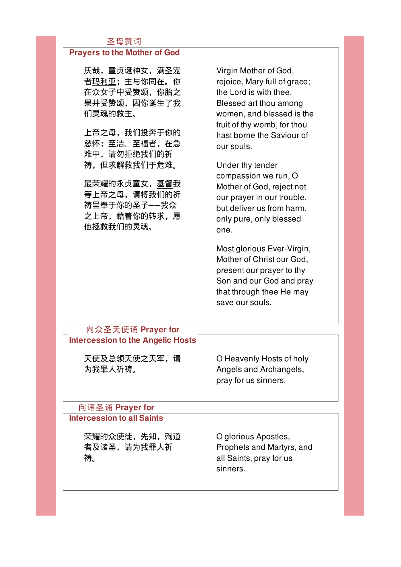## 圣母赞词

### Prayers to the Mother of God

庆哉,童贞诞神女,满圣宠 者玛利亚;主与你同在。你 在众女子中受赞颂,你胎之 果并受赞颂,因你诞生了我 们灵魂的救主。

上帝之母,我们投奔于你的 慈怀;至洁、至福者,在急 难中,请勿拒绝我们的祈 祷,但求解救我们于危难。

最荣耀的永贞童女,基督我 等上帝之母,请将我们的祈 祷呈奉于你的圣子──我众 之上帝,藉着你的转求,愿 他拯救我们的灵魂。

Virgin Mother of God, rejoice, Mary full of grace; the Lord is with thee. Blessed art thou among women, and blessed is the fruit of thy womb, for thou hast borne the Saviour of our souls.

Under thy tender compassion we run, O Mother of God, reject not our prayer in our trouble, but deliver us from harm, only pure, only blessed one.

Most glorious Ever-Virgin, Mother of Christ our God, present our prayer to thy Son and our God and pray that through thee He may save our souls.

## 向众圣天使诵 Prayer for Intercession to the Angelic Hosts

天使及总领天使之天军,请 为我罪人祈祷。

O Heavenly Hosts of holy Angels and Archangels, pray for us sinners.

## 向诸圣诵 Prayer for Intercession to all Saints

荣耀的众使徒,先知,殉道 者及诸圣,请为我罪人祈 祷。

O glorious Apostles, Prophets and Martyrs, and all Saints, pray for us sinners.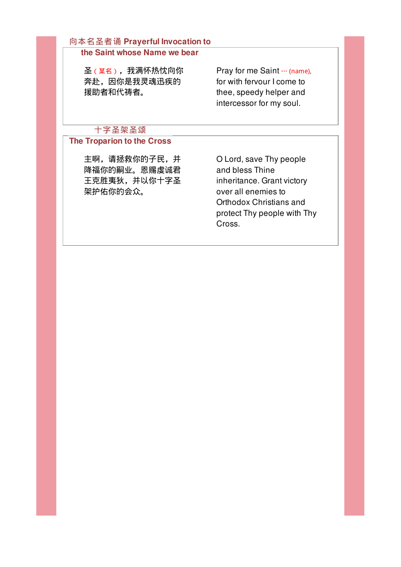## 向本名圣者诵 Prayerful Invocation to

## the Saint whose Name we bear

圣(某名),我满怀热忱向你 奔赴,因你是我灵魂迅疾的 援助者和代祷者。

Pray for me Saint … (name), for with fervour I come to thee, speedy helper and intercessor for my soul.

## 十字圣架圣颂

## The Troparion to the Cross

主啊,请拯救你的子民,并 降福你的嗣业。恩赐虔诚君 王克胜夷狄,并以你十字圣 架护佑你的会众。

O Lord, save Thy people and bless Thine inheritance. Grant victory over all enemies to Orthodox Christians and protect Thy people with Thy Cross.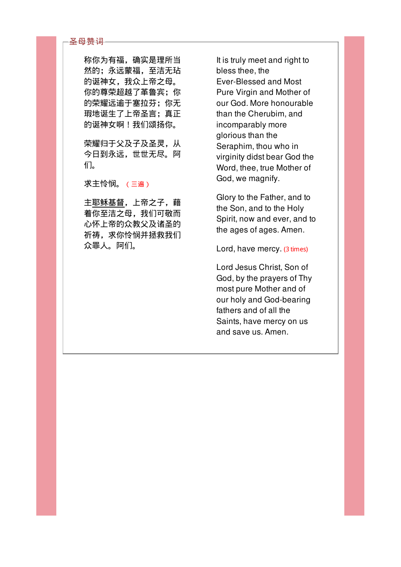#### 圣母赞词

称你为有福,确实是理所当 然的;永远蒙福,至洁无玷 的诞神女,我众上帝之母。 你的尊荣超越了革鲁宾;你 的荣耀远逾于塞拉芬;你无 瑕地诞生了上帝圣言;真正 的诞神女啊!我们颂扬你。

荣耀归于父及子及圣灵,从 今日到永远,世世无尽。阿 们。

求主怜悯。(三遍)

主耶稣基督,上帝之子,藉 着你至洁之母,我们可敬而 心怀上帝的众教父及诸圣的 祈祷,求你怜悯并拯救我们 众罪人。阿们。

It is truly meet and right to bless thee, the Ever-Blessed and Most Pure Virgin and Mother of our God. More honourable than the Cherubim, and incomparably more glorious than the Seraphim, thou who in virginity didst bear God the Word, thee, true Mother of God, we magnify.

Glory to the Father, and to the Son, and to the Holy Spirit, now and ever, and to the ages of ages. Amen.

Lord, have mercy. (3 times)

Lord Jesus Christ, Son of God, by the prayers of Thy most pure Mother and of our holy and God-bearing fathers and of all the Saints, have mercy on us and save us. Amen.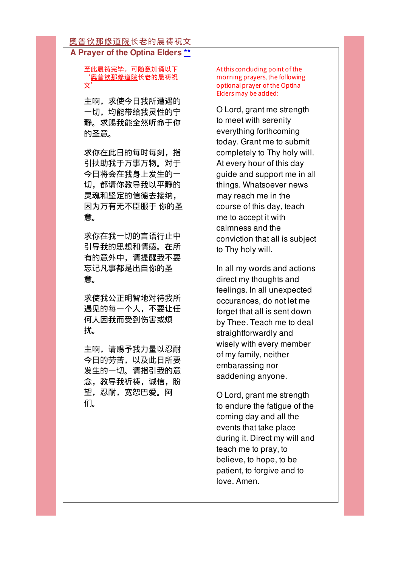#### 奥普钦那修道院长老的晨祷祝文 A Prayer of the Optina Elders \*\*

#### 至此晨祷完毕,可随意加诵以下 '奥普钦那修道院长老的晨祷祝 文'

主啊,求使今日我所遭遇的 一切,均能带给我灵性的宁 静。求赐我能全然听命于你 的圣意。

求你在此日的每时每刻,指 引扶助我于万事万物。对于 今日将会在我身上发生的一 切,都请你教导我以平静的 灵魂和坚定的信德去接纳, 因为万有无不臣服于 你的圣 意。

求你在我一切的言语行止中 引导我的思想和情感。在所 有的意外中,请提醒我不要 忘记凡事都是出自你的圣 意。

求使我公正明智地对待我所 遇见的每一个人,不要让任 何人因我而受到伤害或烦 扰。

主啊,请赐予我力量以忍耐 今日的劳苦,以及此日所要 发生的一切。请指引我的意 念,教导我祈祷,诚信,盼 望,忍耐,宽恕巴爱。阿 们。

At this concluding point of the morning prayers, the following optional prayer of the Optina Elders may be added:

O Lord, grant me strength to meet with serenity everything forthcoming today. Grant me to submit completely to Thy holy will. At every hour of this day guide and support me in all things. Whatsoever news may reach me in the course of this day, teach me to accept it with calmness and the conviction that all is subject to Thy holy will.

In all my words and actions direct my thoughts and feelings. In all unexpected occurances, do not let me forget that all is sent down by Thee. Teach me to deal straightforwardly and wisely with every member of my family, neither embarassing nor saddening anyone.

O Lord, grant me strength to endure the fatigue of the coming day and all the events that take place during it. Direct my will and teach me to pray, to believe, to hope, to be patient, to forgive and to love. Amen.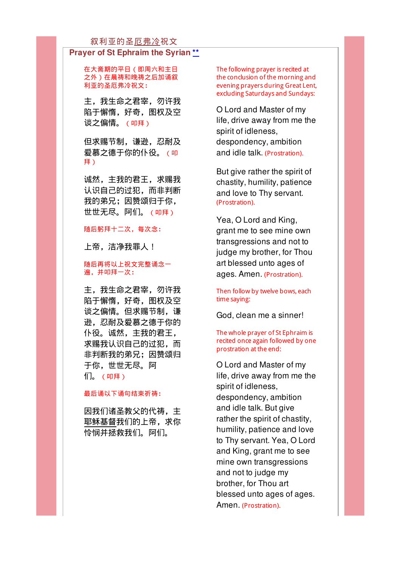#### 叙利亚的圣厄弗冷祝文

#### Prayer of St Ephraim the Syrian \*\*

在大斋期的平日(即周六和主日 之外)在晨祷和晚祷之后加诵叙 利亚的圣厄弗冷祝文:

主,我生命之君宰,勿许我 陷于懈惰,好奇,图权及空 谈之偏情。(叩拜)

但求赐节制,谦逊,忍耐及 爱慕之德于你的仆役。(叩 拜)

诚然,主我的君王,求赐我 认识自己的过犯,而非判断 我的弟兄;因赞颂归于你, 世世无尽。阿们。(叩拜)

#### 随后躬拜十二次,每次念:

上帝,洁净我罪人!

#### 随后再将以上祝文完整诵念一 遍,并叩拜一次:

主,我生命之君宰,勿许我 陷于懈惰,好奇,图权及空 谈之偏情。但求赐节制,谦 逊,忍耐及爱慕之德于你的 仆役。诚然,主我的君王, 求赐我认识自己的过犯,而 非判断我的弟兄;因赞颂归 于你,世世无尽。阿 们。(叩拜)

#### 最后诵以下诵句结束祈祷:

因我们诸圣教父的代祷,主 耶稣基督我们的上帝,求你 怜悯并拯救我们。阿们。

The following prayer is recited at the conclusion of the morning and evening prayers during Great Lent, excluding Saturdays and Sundays:

O Lord and Master of my life, drive away from me the spirit of idleness, despondency, ambition and idle talk. (Prostration).

But give rather the spirit of chastity, humility, patience and love to Thy servant. (Prostration).

Yea, O Lord and King, grant me to see mine own transgressions and not to judge my brother, for Thou art blessed unto ages of ages. Amen. (Prostration).

#### Then follow by twelve bows, each time saying:

God, clean me a sinner!

#### The whole prayer of St Ephraim is recited once again followed by one prostration at the end:

O Lord and Master of my life, drive away from me the spirit of idleness, despondency, ambition and idle talk. But give rather the spirit of chastity, humility, patience and love to Thy servant. Yea, O Lord and King, grant me to see mine own transgressions and not to judge my brother, for Thou art blessed unto ages of ages. Amen. (Prostration).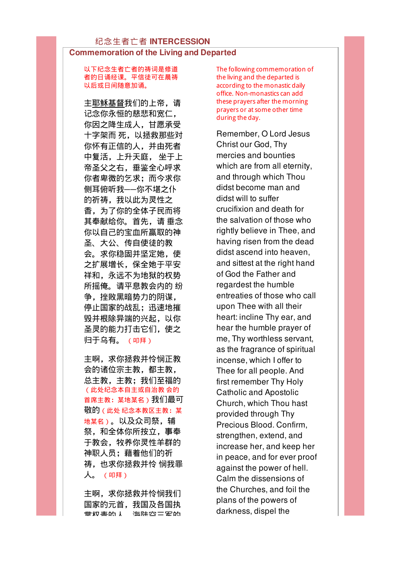以下纪念生者亡者的祷词是修道 者的日诵经课。平信徒可在晨祷 以后或日间随意加诵。

主耶稣基督我们的上帝,请 记念你永恒的慈悲和宽仁, 你因之降生成人,甘愿承受 十字架而 死,以拯救那些对 你怀有正信的人,并由死者 中复活,上升天庭, 坐于上 帝圣父之右,垂鉴全心呼求 你者卑微的乞求;而今求你 侧耳俯听我──你不堪之仆 的祈祷,我以此为灵性之 香,为了你的全体子民而将 其奉献给你。首先,请 垂念 你以自己的宝血所赢取的神 圣、大公、传自使徒的教 会。求你稳固并坚定她,使 之扩展增长,保全她于平安 祥和,永远不为地狱的权势 所摇俺。请平息教会内的 纷 争,挫败黑暗势力的阴谋, 停止国家的战乱;迅速地摧 毁并根除异端的兴起,以你 圣灵的能力打击它们,使之 归于乌有。 (叩拜)

主啊,求你拯救并怜悯正教 会的诸位宗主教,都主教, 总主教,主教;我们至福的 (此处纪念本自主或自治教 会的 首席主教:某地某名)我们最可 敬的(此处 纪念本教区主教:某 地某名)。以及众司祭,辅 祭,和全体你所按立,事奉 于教会,牧养你灵性羊群的 神职人员:藉着他们的祈 祷,也求你拯救并怜 悯我罪 人。 (叩拜)

主啊,求你拯救并怜悯我们 国家的元首,我国及各国执 掌权责的人,海陆空三军的 The following commemoration of the living and the departed is according to the monastic daily office. Non-monastics can add these prayers after the morning prayers or at some other time during the day.

Remember, O Lord Jesus Christ our God, Thy mercies and bounties which are from all eternity, and through which Thou didst become man and didst will to suffer crucifixion and death for the salvation of those who rightly believe in Thee, and having risen from the dead didst ascend into heaven, and sittest at the right hand of God the Father and regardest the humble entreaties of those who call upon Thee with all their heart: incline Thy ear, and hear the humble prayer of me, Thy worthless servant, as the fragrance of spiritual incense, which I offer to Thee for all people. And first remember Thy Holy Catholic and Apostolic Church, which Thou hast provided through Thy Precious Blood. Confirm, strengthen, extend, and increase her, and keep her in peace, and for ever proof against the power of hell. Calm the dissensions of the Churches, and foil the plans of the powers of darkness, dispel the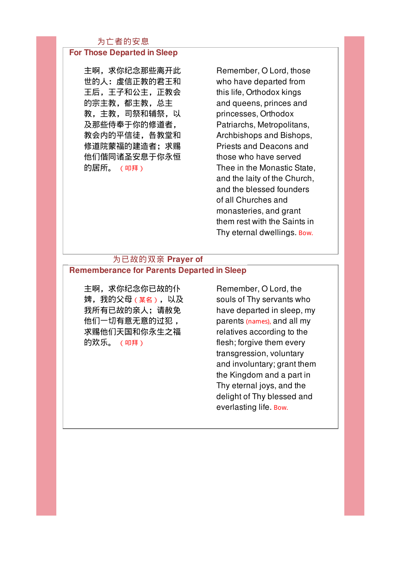## 为亡者的安息

#### For Those Departed in Sleep

主啊,求你纪念那些离开此 世的人:虔信正教的君王和 王后,王子和公主,正教会 的宗主教,都主教,总主 教,主教,司祭和辅祭,以 及那些侍奉于你的修道者, 教会内的平信徒,各教堂和 修道院蒙福的建造者;求赐 他们偕同诸圣安息于你永恒 的居所。 (叩拜)

Remember, O Lord, those who have departed from this life, Orthodox kings and queens, princes and princesses, Orthodox Patriarchs, Metropolitans, Archbishops and Bishops, Priests and Deacons and those who have served Thee in the Monastic State, and the laity of the Church, and the blessed founders of all Churches and monasteries, and grant them rest with the Saints in Thy eternal dwellings. Bow.

#### 为已故的双亲 Prayer of Rememberance for Parents Departed in Sleep

主啊,求你纪念你已故的仆 婢,我的父母(某名),以及 我所有已故的亲人;请赦免 他们一切有意无意的过犯 , 求赐他们天国和你永生之福 的欢乐。 (叩拜)

Remember, O Lord, the souls of Thy servants who have departed in sleep, my parents (names), and all my relatives according to the flesh; forgive them every transgression, voluntary and involuntary; grant them the Kingdom and a part in Thy eternal joys, and the delight of Thy blessed and everlasting life. Bow.